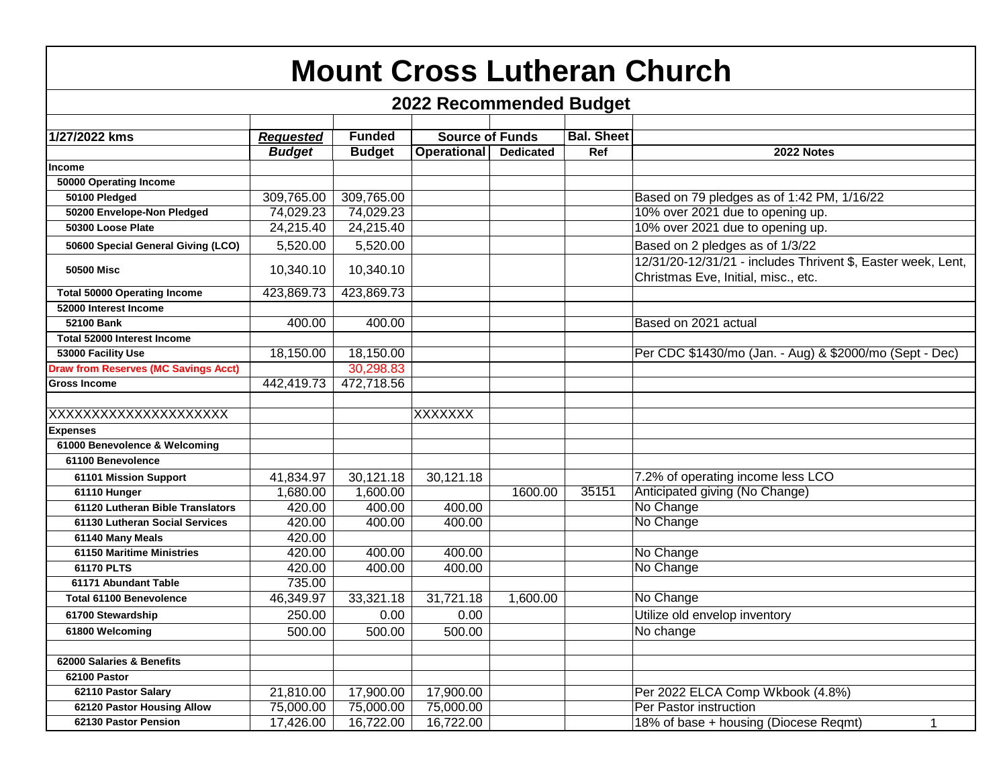| <b>Mount Cross Lutheran Church</b>          |                  |               |                        |                  |                   |                                                                                                     |  |  |
|---------------------------------------------|------------------|---------------|------------------------|------------------|-------------------|-----------------------------------------------------------------------------------------------------|--|--|
| <b>2022 Recommended Budget</b>              |                  |               |                        |                  |                   |                                                                                                     |  |  |
|                                             |                  |               |                        |                  |                   |                                                                                                     |  |  |
| 1/27/2022 kms                               | <b>Requested</b> | <b>Funded</b> | <b>Source of Funds</b> |                  | <b>Bal. Sheet</b> |                                                                                                     |  |  |
|                                             | <b>Budget</b>    | <b>Budget</b> | <b>Operational</b>     | <b>Dedicated</b> | Ref               | 2022 Notes                                                                                          |  |  |
| <b>Income</b>                               |                  |               |                        |                  |                   |                                                                                                     |  |  |
| 50000 Operating Income                      |                  |               |                        |                  |                   |                                                                                                     |  |  |
| 50100 Pledged                               | 309,765.00       | 309,765.00    |                        |                  |                   | Based on 79 pledges as of 1:42 PM, 1/16/22                                                          |  |  |
| 50200 Envelope-Non Pledged                  | 74,029.23        | 74,029.23     |                        |                  |                   | 10% over 2021 due to opening up.                                                                    |  |  |
| 50300 Loose Plate                           | 24,215.40        | 24,215.40     |                        |                  |                   | 10% over 2021 due to opening up.                                                                    |  |  |
| 50600 Special General Giving (LCO)          | 5,520.00         | 5,520.00      |                        |                  |                   | Based on 2 pledges as of 1/3/22                                                                     |  |  |
| <b>50500 Misc</b>                           | 10,340.10        | 10,340.10     |                        |                  |                   | 12/31/20-12/31/21 - includes Thrivent \$, Easter week, Lent,<br>Christmas Eve, Initial, misc., etc. |  |  |
| <b>Total 50000 Operating Income</b>         | 423,869.73       | 423,869.73    |                        |                  |                   |                                                                                                     |  |  |
| 52000 Interest Income                       |                  |               |                        |                  |                   |                                                                                                     |  |  |
| 52100 Bank                                  | 400.00           | 400.00        |                        |                  |                   | Based on 2021 actual                                                                                |  |  |
| <b>Total 52000 Interest Income</b>          |                  |               |                        |                  |                   |                                                                                                     |  |  |
| 53000 Facility Use                          | 18,150.00        | 18,150.00     |                        |                  |                   | Per CDC \$1430/mo (Jan. - Aug) & \$2000/mo (Sept - Dec)                                             |  |  |
| <b>Draw from Reserves (MC Savings Acct)</b> |                  | 30,298.83     |                        |                  |                   |                                                                                                     |  |  |
| <b>Gross Income</b>                         | 442,419.73       | 472,718.56    |                        |                  |                   |                                                                                                     |  |  |
|                                             |                  |               |                        |                  |                   |                                                                                                     |  |  |
| XXXXXXXXXXXXXXXXXXXX                        |                  |               | <b>XXXXXXX</b>         |                  |                   |                                                                                                     |  |  |
| <b>Expenses</b>                             |                  |               |                        |                  |                   |                                                                                                     |  |  |
| 61000 Benevolence & Welcoming               |                  |               |                        |                  |                   |                                                                                                     |  |  |
| 61100 Benevolence                           |                  |               |                        |                  |                   |                                                                                                     |  |  |
| 61101 Mission Support                       | 41,834.97        | 30,121.18     | 30,121.18              |                  |                   | 7.2% of operating income less LCO                                                                   |  |  |
| 61110 Hunger                                | 1,680.00         | 1,600.00      |                        | 1600.00          | 35151             | Anticipated giving (No Change)                                                                      |  |  |
| 61120 Lutheran Bible Translators            | 420.00           | 400.00        | 400.00                 |                  |                   | No Change                                                                                           |  |  |
| 61130 Lutheran Social Services              | 420.00           | 400.00        | 400.00                 |                  |                   | No Change                                                                                           |  |  |
| 61140 Many Meals                            | 420.00           |               |                        |                  |                   |                                                                                                     |  |  |
| 61150 Maritime Ministries                   | 420.00           | 400.00        | 400.00                 |                  |                   | No Change                                                                                           |  |  |
| 61170 PLTS                                  | 420.00           | 400.00        | 400.00                 |                  |                   | No Change                                                                                           |  |  |
| 61171 Abundant Table                        | 735.00           |               |                        |                  |                   |                                                                                                     |  |  |
| Total 61100 Benevolence                     | 46,349.97        | 33,321.18     | 31,721.18              | 1,600.00         |                   | No Change                                                                                           |  |  |
| 61700 Stewardship                           | 250.00           | 0.00          | 0.00                   |                  |                   | Utilize old envelop inventory                                                                       |  |  |
| 61800 Welcoming                             | 500.00           | 500.00        | 500.00                 |                  |                   | No change                                                                                           |  |  |
|                                             |                  |               |                        |                  |                   |                                                                                                     |  |  |
| 62000 Salaries & Benefits                   |                  |               |                        |                  |                   |                                                                                                     |  |  |
| 62100 Pastor                                |                  |               |                        |                  |                   |                                                                                                     |  |  |
| 62110 Pastor Salary                         | 21,810.00        | 17,900.00     | 17,900.00              |                  |                   | Per 2022 ELCA Comp Wkbook (4.8%)                                                                    |  |  |
| 62120 Pastor Housing Allow                  | 75,000.00        | 75,000.00     | 75,000.00              |                  |                   | Per Pastor instruction                                                                              |  |  |
| 62130 Pastor Pension                        | 17,426.00        | 16,722.00     | 16,722.00              |                  |                   | 18% of base + housing (Diocese Reqmt)<br>1                                                          |  |  |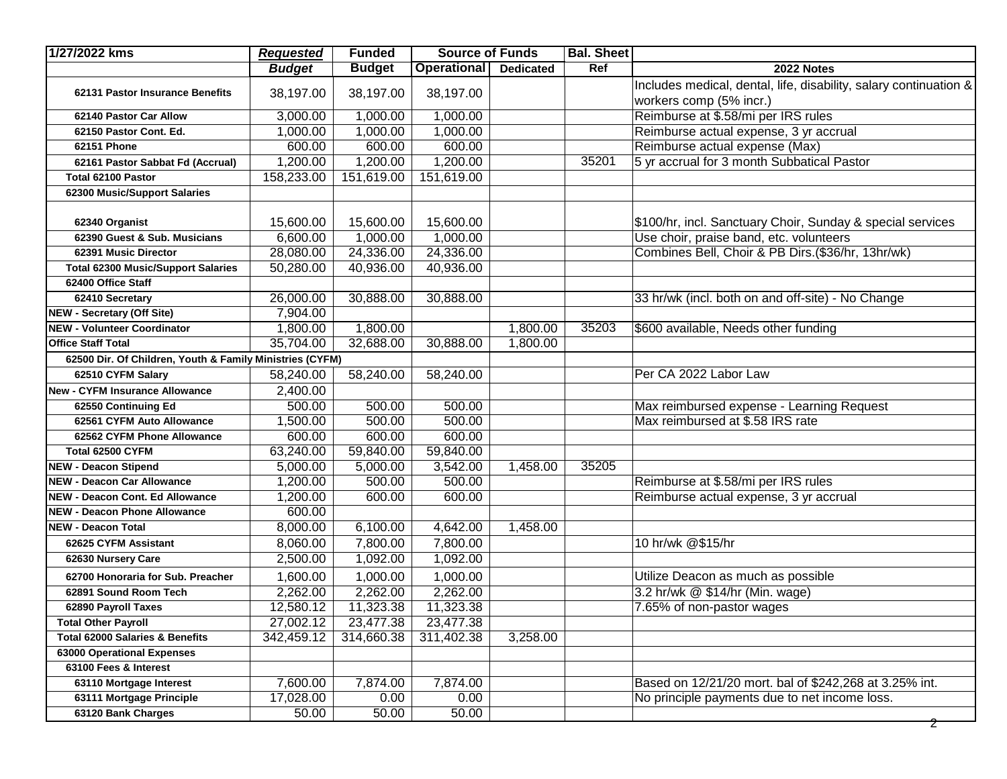| 1/27/2022 kms                                                        | <b>Requested</b>   | <b>Funded</b>      | <b>Source of Funds</b> |                  | <b>Bal. Sheet</b> |                                                                   |
|----------------------------------------------------------------------|--------------------|--------------------|------------------------|------------------|-------------------|-------------------------------------------------------------------|
|                                                                      | <b>Budget</b>      | <b>Budget</b>      | Operational            | <b>Dedicated</b> | Ref               | 2022 Notes                                                        |
| 62131 Pastor Insurance Benefits                                      | 38,197.00          | 38,197.00          | 38,197.00              |                  |                   | Includes medical, dental, life, disability, salary continuation & |
|                                                                      |                    |                    |                        |                  |                   | workers comp (5% incr.)                                           |
| 62140 Pastor Car Allow                                               | 3,000.00           | 1,000.00           | 1,000.00               |                  |                   | Reimburse at \$.58/mi per IRS rules                               |
| 62150 Pastor Cont. Ed.                                               | 1,000.00           | 1,000.00           | 1,000.00               |                  |                   | Reimburse actual expense, 3 yr accrual                            |
| 62151 Phone                                                          | 600.00             | 600.00             | 600.00                 |                  |                   | Reimburse actual expense (Max)                                    |
| 62161 Pastor Sabbat Fd (Accrual)                                     | 1,200.00           | 1,200.00           | 1,200.00               |                  | 35201             | 5 yr accrual for 3 month Subbatical Pastor                        |
| Total 62100 Pastor                                                   | 158,233.00         | 151,619.00         | 151,619.00             |                  |                   |                                                                   |
| 62300 Music/Support Salaries                                         |                    |                    |                        |                  |                   |                                                                   |
|                                                                      |                    |                    |                        |                  |                   |                                                                   |
| 62340 Organist                                                       | 15,600.00          | 15,600.00          | 15,600.00              |                  |                   | \$100/hr, incl. Sanctuary Choir, Sunday & special services        |
| 62390 Guest & Sub. Musicians                                         | 6,600.00           | 1,000.00           | 1,000.00               |                  |                   | Use choir, praise band, etc. volunteers                           |
| 62391 Music Director                                                 | 28,080.00          | 24,336.00          | 24,336.00              |                  |                   | Combines Bell, Choir & PB Dirs.(\$36/hr, 13hr/wk)                 |
| <b>Total 62300 Music/Support Salaries</b>                            | 50,280.00          | 40,936.00          | 40,936.00              |                  |                   |                                                                   |
| 62400 Office Staff                                                   |                    |                    |                        |                  |                   |                                                                   |
| 62410 Secretary                                                      | 26,000.00          | 30,888.00          | 30,888.00              |                  |                   | 33 hr/wk (incl. both on and off-site) - No Change                 |
| NEW - Secretary (Off Site)                                           | 7,904.00           |                    |                        |                  |                   |                                                                   |
| <b>NEW - Volunteer Coordinator</b>                                   | 1,800.00           | 1,800.00           |                        | 1,800.00         | 35203             | \$600 available, Needs other funding                              |
| <b>Office Staff Total</b>                                            | 35,704.00          | 32,688.00          | 30,888.00              | 1,800.00         |                   |                                                                   |
| 62500 Dir. Of Children, Youth & Family Ministries (CYFM)             |                    |                    |                        |                  |                   |                                                                   |
| 62510 CYFM Salary                                                    | 58,240.00          | 58,240.00          | 58,240.00              |                  |                   | Per CA 2022 Labor Law                                             |
| New - CYFM Insurance Allowance                                       | 2,400.00           |                    |                        |                  |                   |                                                                   |
| 62550 Continuing Ed                                                  | 500.00             | 500.00             | 500.00                 |                  |                   | Max reimbursed expense - Learning Request                         |
| 62561 CYFM Auto Allowance                                            | 1,500.00           | 500.00             | 500.00                 |                  |                   | Max reimbursed at \$.58 IRS rate                                  |
| 62562 CYFM Phone Allowance                                           | 600.00             | 600.00             | 600.00                 |                  |                   |                                                                   |
| Total 62500 CYFM                                                     | 63,240.00          | 59,840.00          | 59,840.00              |                  |                   |                                                                   |
| <b>NEW - Deacon Stipend</b>                                          | 5,000.00           | 5,000.00<br>500.00 | 3,542.00<br>500.00     | 1,458.00         | 35205             |                                                                   |
| <b>NEW - Deacon Car Allowance</b><br>NEW - Deacon Cont. Ed Allowance | 1,200.00           | 600.00             | 600.00                 |                  |                   | Reimburse at \$.58/mi per IRS rules                               |
| NEW - Deacon Phone Allowance                                         | 1,200.00<br>600.00 |                    |                        |                  |                   | Reimburse actual expense, 3 yr accrual                            |
| <b>NEW - Deacon Total</b>                                            | 8,000.00           | 6,100.00           | 4,642.00               | 1,458.00         |                   |                                                                   |
| 62625 CYFM Assistant                                                 | 8,060.00           | 7,800.00           | 7,800.00               |                  |                   | 10 hr/wk @\$15/hr                                                 |
| 62630 Nursery Care                                                   | 2,500.00           | 1,092.00           | 1,092.00               |                  |                   |                                                                   |
|                                                                      |                    |                    |                        |                  |                   |                                                                   |
| 62700 Honoraria for Sub. Preacher                                    | 1,600.00           | 1,000.00           | 1,000.00               |                  |                   | Utilize Deacon as much as possible                                |
| 62891 Sound Room Tech                                                | 2,262.00           | 2,262.00           | 2,262.00<br>11,323.38  |                  |                   | 3.2 hr/wk @ \$14/hr (Min. wage)                                   |
| 62890 Payroll Taxes                                                  | 12,580.12          | 11,323.38          |                        |                  |                   | 7.65% of non-pastor wages                                         |
| <b>Total Other Payroll</b>                                           | 27,002.12          | 23,477.38          | 23,477.38              |                  |                   |                                                                   |
| Total 62000 Salaries & Benefits<br>63000 Operational Expenses        | 342,459.12         | 314,660.38         | 311,402.38             | 3,258.00         |                   |                                                                   |
| 63100 Fees & Interest                                                |                    |                    |                        |                  |                   |                                                                   |
| 63110 Mortgage Interest                                              | 7,600.00           | 7,874.00           | 7,874.00               |                  |                   | Based on 12/21/20 mort. bal of \$242,268 at 3.25% int.            |
| 63111 Mortgage Principle                                             | 17,028.00          | 0.00               | 0.00                   |                  |                   | No principle payments due to net income loss.                     |
| 63120 Bank Charges                                                   | 50.00              | 50.00              | 50.00                  |                  |                   |                                                                   |
|                                                                      |                    |                    |                        |                  |                   | Z                                                                 |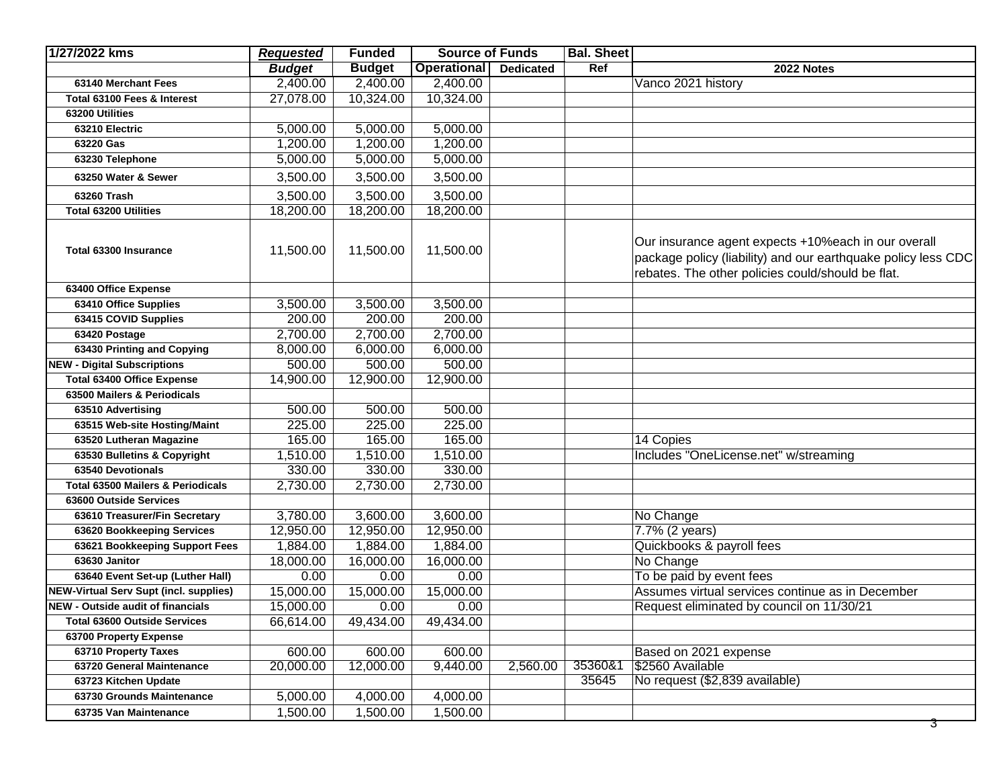| <b>Budget</b><br><b>Budget</b><br><b>Operational</b><br>Ref<br><b>Dedicated</b><br>2022 Notes<br>2,400.00<br>2,400.00<br>Vanco 2021 history<br>2,400.00<br>63140 Merchant Fees<br>27,078.00<br>10,324.00<br>10,324.00<br>Total 63100 Fees & Interest<br>63200 Utilities<br>5,000.00<br>5,000.00<br>5,000.00<br>63210 Electric<br>1,200.00<br>1,200.00<br>1,200.00<br>63220 Gas<br>5,000.00<br>5,000.00<br>5,000.00<br>63230 Telephone<br>3,500.00<br>3,500.00<br>3,500.00<br>63250 Water & Sewer<br>3,500.00<br>63260 Trash<br>3,500.00<br>3,500.00<br>18,200.00<br>18,200.00<br>18,200.00<br><b>Total 63200 Utilities</b><br>Our insurance agent expects +10% each in our overall<br>11,500.00<br>11,500.00<br>11,500.00<br>Total 63300 Insurance<br>rebates. The other policies could/should be flat.<br>63400 Office Expense<br>3,500.00<br>3,500.00<br>63410 Office Supplies<br>3,500.00<br>200.00<br>200.00<br>200.00<br>63415 COVID Supplies<br>2,700.00<br>2,700.00<br>2,700.00<br>63420 Postage<br>63430 Printing and Copying<br>8,000.00<br>6,000.00<br>6,000.00<br><b>NEW - Digital Subscriptions</b><br>500.00<br>500.00<br>500.00<br><b>Total 63400 Office Expense</b><br>14,900.00<br>12,900.00<br>12,900.00<br>63500 Mailers & Periodicals<br>500.00<br>500.00<br>500.00<br>63510 Advertising<br>225.00<br>225.00<br>225.00<br>63515 Web-site Hosting/Maint<br>165.00<br>165.00<br>165.00<br>14 Copies<br>63520 Lutheran Magazine<br>1,510.00<br>Includes "OneLicense.net" w/streaming<br>1,510.00<br>1,510.00<br>63530 Bulletins & Copyright<br>330.00<br>330.00<br>330.00<br>63540 Devotionals<br>2,730.00<br><b>Total 63500 Mailers &amp; Periodicals</b><br>2,730.00<br>2,730.00<br>63600 Outside Services<br>3,600.00<br>3,780.00<br>3,600.00<br>No Change<br>63610 Treasurer/Fin Secretary<br>12,950.00<br>12,950.00<br>12,950.00<br>7.7% (2 years)<br>63620 Bookkeeping Services<br>63621 Bookkeeping Support Fees<br>1,884.00<br>1,884.00<br>1,884.00<br>Quickbooks & payroll fees<br>16,000.00<br>No Change<br>63630 Janitor<br>18,000.00<br>16,000.00<br>0.00<br>0.00<br>0.00<br>To be paid by event fees<br>63640 Event Set-up (Luther Hall)<br>NEW-Virtual Serv Supt (incl. supplies)<br>15,000.00<br>15,000.00<br>15,000.00<br>Assumes virtual services continue as in December<br>NEW - Outside audit of financials<br>15,000.00<br>Request eliminated by council on 11/30/21<br>0.00<br>0.00 | 1/27/2022 kms | <b>Requested</b> | <b>Funded</b> | <b>Source of Funds</b> | <b>Bal. Sheet</b> |                                                               |
|---------------------------------------------------------------------------------------------------------------------------------------------------------------------------------------------------------------------------------------------------------------------------------------------------------------------------------------------------------------------------------------------------------------------------------------------------------------------------------------------------------------------------------------------------------------------------------------------------------------------------------------------------------------------------------------------------------------------------------------------------------------------------------------------------------------------------------------------------------------------------------------------------------------------------------------------------------------------------------------------------------------------------------------------------------------------------------------------------------------------------------------------------------------------------------------------------------------------------------------------------------------------------------------------------------------------------------------------------------------------------------------------------------------------------------------------------------------------------------------------------------------------------------------------------------------------------------------------------------------------------------------------------------------------------------------------------------------------------------------------------------------------------------------------------------------------------------------------------------------------------------------------------------------------------------------------------------------------------------------------------------------------------------------------------------------------------------------------------------------------------------------------------------------------------------------------------------------------------------------------------------------------------------------------------------------------------------------------------------------------------------------------------------------------------|---------------|------------------|---------------|------------------------|-------------------|---------------------------------------------------------------|
|                                                                                                                                                                                                                                                                                                                                                                                                                                                                                                                                                                                                                                                                                                                                                                                                                                                                                                                                                                                                                                                                                                                                                                                                                                                                                                                                                                                                                                                                                                                                                                                                                                                                                                                                                                                                                                                                                                                                                                                                                                                                                                                                                                                                                                                                                                                                                                                                                           |               |                  |               |                        |                   |                                                               |
|                                                                                                                                                                                                                                                                                                                                                                                                                                                                                                                                                                                                                                                                                                                                                                                                                                                                                                                                                                                                                                                                                                                                                                                                                                                                                                                                                                                                                                                                                                                                                                                                                                                                                                                                                                                                                                                                                                                                                                                                                                                                                                                                                                                                                                                                                                                                                                                                                           |               |                  |               |                        |                   |                                                               |
|                                                                                                                                                                                                                                                                                                                                                                                                                                                                                                                                                                                                                                                                                                                                                                                                                                                                                                                                                                                                                                                                                                                                                                                                                                                                                                                                                                                                                                                                                                                                                                                                                                                                                                                                                                                                                                                                                                                                                                                                                                                                                                                                                                                                                                                                                                                                                                                                                           |               |                  |               |                        |                   |                                                               |
|                                                                                                                                                                                                                                                                                                                                                                                                                                                                                                                                                                                                                                                                                                                                                                                                                                                                                                                                                                                                                                                                                                                                                                                                                                                                                                                                                                                                                                                                                                                                                                                                                                                                                                                                                                                                                                                                                                                                                                                                                                                                                                                                                                                                                                                                                                                                                                                                                           |               |                  |               |                        |                   |                                                               |
|                                                                                                                                                                                                                                                                                                                                                                                                                                                                                                                                                                                                                                                                                                                                                                                                                                                                                                                                                                                                                                                                                                                                                                                                                                                                                                                                                                                                                                                                                                                                                                                                                                                                                                                                                                                                                                                                                                                                                                                                                                                                                                                                                                                                                                                                                                                                                                                                                           |               |                  |               |                        |                   |                                                               |
|                                                                                                                                                                                                                                                                                                                                                                                                                                                                                                                                                                                                                                                                                                                                                                                                                                                                                                                                                                                                                                                                                                                                                                                                                                                                                                                                                                                                                                                                                                                                                                                                                                                                                                                                                                                                                                                                                                                                                                                                                                                                                                                                                                                                                                                                                                                                                                                                                           |               |                  |               |                        |                   |                                                               |
|                                                                                                                                                                                                                                                                                                                                                                                                                                                                                                                                                                                                                                                                                                                                                                                                                                                                                                                                                                                                                                                                                                                                                                                                                                                                                                                                                                                                                                                                                                                                                                                                                                                                                                                                                                                                                                                                                                                                                                                                                                                                                                                                                                                                                                                                                                                                                                                                                           |               |                  |               |                        |                   |                                                               |
|                                                                                                                                                                                                                                                                                                                                                                                                                                                                                                                                                                                                                                                                                                                                                                                                                                                                                                                                                                                                                                                                                                                                                                                                                                                                                                                                                                                                                                                                                                                                                                                                                                                                                                                                                                                                                                                                                                                                                                                                                                                                                                                                                                                                                                                                                                                                                                                                                           |               |                  |               |                        |                   |                                                               |
|                                                                                                                                                                                                                                                                                                                                                                                                                                                                                                                                                                                                                                                                                                                                                                                                                                                                                                                                                                                                                                                                                                                                                                                                                                                                                                                                                                                                                                                                                                                                                                                                                                                                                                                                                                                                                                                                                                                                                                                                                                                                                                                                                                                                                                                                                                                                                                                                                           |               |                  |               |                        |                   |                                                               |
|                                                                                                                                                                                                                                                                                                                                                                                                                                                                                                                                                                                                                                                                                                                                                                                                                                                                                                                                                                                                                                                                                                                                                                                                                                                                                                                                                                                                                                                                                                                                                                                                                                                                                                                                                                                                                                                                                                                                                                                                                                                                                                                                                                                                                                                                                                                                                                                                                           |               |                  |               |                        |                   |                                                               |
|                                                                                                                                                                                                                                                                                                                                                                                                                                                                                                                                                                                                                                                                                                                                                                                                                                                                                                                                                                                                                                                                                                                                                                                                                                                                                                                                                                                                                                                                                                                                                                                                                                                                                                                                                                                                                                                                                                                                                                                                                                                                                                                                                                                                                                                                                                                                                                                                                           |               |                  |               |                        |                   | package policy (liability) and our earthquake policy less CDC |
|                                                                                                                                                                                                                                                                                                                                                                                                                                                                                                                                                                                                                                                                                                                                                                                                                                                                                                                                                                                                                                                                                                                                                                                                                                                                                                                                                                                                                                                                                                                                                                                                                                                                                                                                                                                                                                                                                                                                                                                                                                                                                                                                                                                                                                                                                                                                                                                                                           |               |                  |               |                        |                   |                                                               |
|                                                                                                                                                                                                                                                                                                                                                                                                                                                                                                                                                                                                                                                                                                                                                                                                                                                                                                                                                                                                                                                                                                                                                                                                                                                                                                                                                                                                                                                                                                                                                                                                                                                                                                                                                                                                                                                                                                                                                                                                                                                                                                                                                                                                                                                                                                                                                                                                                           |               |                  |               |                        |                   |                                                               |
|                                                                                                                                                                                                                                                                                                                                                                                                                                                                                                                                                                                                                                                                                                                                                                                                                                                                                                                                                                                                                                                                                                                                                                                                                                                                                                                                                                                                                                                                                                                                                                                                                                                                                                                                                                                                                                                                                                                                                                                                                                                                                                                                                                                                                                                                                                                                                                                                                           |               |                  |               |                        |                   |                                                               |
|                                                                                                                                                                                                                                                                                                                                                                                                                                                                                                                                                                                                                                                                                                                                                                                                                                                                                                                                                                                                                                                                                                                                                                                                                                                                                                                                                                                                                                                                                                                                                                                                                                                                                                                                                                                                                                                                                                                                                                                                                                                                                                                                                                                                                                                                                                                                                                                                                           |               |                  |               |                        |                   |                                                               |
|                                                                                                                                                                                                                                                                                                                                                                                                                                                                                                                                                                                                                                                                                                                                                                                                                                                                                                                                                                                                                                                                                                                                                                                                                                                                                                                                                                                                                                                                                                                                                                                                                                                                                                                                                                                                                                                                                                                                                                                                                                                                                                                                                                                                                                                                                                                                                                                                                           |               |                  |               |                        |                   |                                                               |
|                                                                                                                                                                                                                                                                                                                                                                                                                                                                                                                                                                                                                                                                                                                                                                                                                                                                                                                                                                                                                                                                                                                                                                                                                                                                                                                                                                                                                                                                                                                                                                                                                                                                                                                                                                                                                                                                                                                                                                                                                                                                                                                                                                                                                                                                                                                                                                                                                           |               |                  |               |                        |                   |                                                               |
|                                                                                                                                                                                                                                                                                                                                                                                                                                                                                                                                                                                                                                                                                                                                                                                                                                                                                                                                                                                                                                                                                                                                                                                                                                                                                                                                                                                                                                                                                                                                                                                                                                                                                                                                                                                                                                                                                                                                                                                                                                                                                                                                                                                                                                                                                                                                                                                                                           |               |                  |               |                        |                   |                                                               |
|                                                                                                                                                                                                                                                                                                                                                                                                                                                                                                                                                                                                                                                                                                                                                                                                                                                                                                                                                                                                                                                                                                                                                                                                                                                                                                                                                                                                                                                                                                                                                                                                                                                                                                                                                                                                                                                                                                                                                                                                                                                                                                                                                                                                                                                                                                                                                                                                                           |               |                  |               |                        |                   |                                                               |
|                                                                                                                                                                                                                                                                                                                                                                                                                                                                                                                                                                                                                                                                                                                                                                                                                                                                                                                                                                                                                                                                                                                                                                                                                                                                                                                                                                                                                                                                                                                                                                                                                                                                                                                                                                                                                                                                                                                                                                                                                                                                                                                                                                                                                                                                                                                                                                                                                           |               |                  |               |                        |                   |                                                               |
|                                                                                                                                                                                                                                                                                                                                                                                                                                                                                                                                                                                                                                                                                                                                                                                                                                                                                                                                                                                                                                                                                                                                                                                                                                                                                                                                                                                                                                                                                                                                                                                                                                                                                                                                                                                                                                                                                                                                                                                                                                                                                                                                                                                                                                                                                                                                                                                                                           |               |                  |               |                        |                   |                                                               |
|                                                                                                                                                                                                                                                                                                                                                                                                                                                                                                                                                                                                                                                                                                                                                                                                                                                                                                                                                                                                                                                                                                                                                                                                                                                                                                                                                                                                                                                                                                                                                                                                                                                                                                                                                                                                                                                                                                                                                                                                                                                                                                                                                                                                                                                                                                                                                                                                                           |               |                  |               |                        |                   |                                                               |
|                                                                                                                                                                                                                                                                                                                                                                                                                                                                                                                                                                                                                                                                                                                                                                                                                                                                                                                                                                                                                                                                                                                                                                                                                                                                                                                                                                                                                                                                                                                                                                                                                                                                                                                                                                                                                                                                                                                                                                                                                                                                                                                                                                                                                                                                                                                                                                                                                           |               |                  |               |                        |                   |                                                               |
|                                                                                                                                                                                                                                                                                                                                                                                                                                                                                                                                                                                                                                                                                                                                                                                                                                                                                                                                                                                                                                                                                                                                                                                                                                                                                                                                                                                                                                                                                                                                                                                                                                                                                                                                                                                                                                                                                                                                                                                                                                                                                                                                                                                                                                                                                                                                                                                                                           |               |                  |               |                        |                   |                                                               |
|                                                                                                                                                                                                                                                                                                                                                                                                                                                                                                                                                                                                                                                                                                                                                                                                                                                                                                                                                                                                                                                                                                                                                                                                                                                                                                                                                                                                                                                                                                                                                                                                                                                                                                                                                                                                                                                                                                                                                                                                                                                                                                                                                                                                                                                                                                                                                                                                                           |               |                  |               |                        |                   |                                                               |
|                                                                                                                                                                                                                                                                                                                                                                                                                                                                                                                                                                                                                                                                                                                                                                                                                                                                                                                                                                                                                                                                                                                                                                                                                                                                                                                                                                                                                                                                                                                                                                                                                                                                                                                                                                                                                                                                                                                                                                                                                                                                                                                                                                                                                                                                                                                                                                                                                           |               |                  |               |                        |                   |                                                               |
|                                                                                                                                                                                                                                                                                                                                                                                                                                                                                                                                                                                                                                                                                                                                                                                                                                                                                                                                                                                                                                                                                                                                                                                                                                                                                                                                                                                                                                                                                                                                                                                                                                                                                                                                                                                                                                                                                                                                                                                                                                                                                                                                                                                                                                                                                                                                                                                                                           |               |                  |               |                        |                   |                                                               |
|                                                                                                                                                                                                                                                                                                                                                                                                                                                                                                                                                                                                                                                                                                                                                                                                                                                                                                                                                                                                                                                                                                                                                                                                                                                                                                                                                                                                                                                                                                                                                                                                                                                                                                                                                                                                                                                                                                                                                                                                                                                                                                                                                                                                                                                                                                                                                                                                                           |               |                  |               |                        |                   |                                                               |
|                                                                                                                                                                                                                                                                                                                                                                                                                                                                                                                                                                                                                                                                                                                                                                                                                                                                                                                                                                                                                                                                                                                                                                                                                                                                                                                                                                                                                                                                                                                                                                                                                                                                                                                                                                                                                                                                                                                                                                                                                                                                                                                                                                                                                                                                                                                                                                                                                           |               |                  |               |                        |                   |                                                               |
|                                                                                                                                                                                                                                                                                                                                                                                                                                                                                                                                                                                                                                                                                                                                                                                                                                                                                                                                                                                                                                                                                                                                                                                                                                                                                                                                                                                                                                                                                                                                                                                                                                                                                                                                                                                                                                                                                                                                                                                                                                                                                                                                                                                                                                                                                                                                                                                                                           |               |                  |               |                        |                   |                                                               |
|                                                                                                                                                                                                                                                                                                                                                                                                                                                                                                                                                                                                                                                                                                                                                                                                                                                                                                                                                                                                                                                                                                                                                                                                                                                                                                                                                                                                                                                                                                                                                                                                                                                                                                                                                                                                                                                                                                                                                                                                                                                                                                                                                                                                                                                                                                                                                                                                                           |               |                  |               |                        |                   |                                                               |
|                                                                                                                                                                                                                                                                                                                                                                                                                                                                                                                                                                                                                                                                                                                                                                                                                                                                                                                                                                                                                                                                                                                                                                                                                                                                                                                                                                                                                                                                                                                                                                                                                                                                                                                                                                                                                                                                                                                                                                                                                                                                                                                                                                                                                                                                                                                                                                                                                           |               |                  |               |                        |                   |                                                               |
| 66,614.00<br>49,434.00<br>49,434.00<br><b>Total 63600 Outside Services</b>                                                                                                                                                                                                                                                                                                                                                                                                                                                                                                                                                                                                                                                                                                                                                                                                                                                                                                                                                                                                                                                                                                                                                                                                                                                                                                                                                                                                                                                                                                                                                                                                                                                                                                                                                                                                                                                                                                                                                                                                                                                                                                                                                                                                                                                                                                                                                |               |                  |               |                        |                   |                                                               |
| 63700 Property Expense                                                                                                                                                                                                                                                                                                                                                                                                                                                                                                                                                                                                                                                                                                                                                                                                                                                                                                                                                                                                                                                                                                                                                                                                                                                                                                                                                                                                                                                                                                                                                                                                                                                                                                                                                                                                                                                                                                                                                                                                                                                                                                                                                                                                                                                                                                                                                                                                    |               |                  |               |                        |                   |                                                               |
| 600.00<br>600.00<br>600.00<br>63710 Property Taxes<br>Based on 2021 expense                                                                                                                                                                                                                                                                                                                                                                                                                                                                                                                                                                                                                                                                                                                                                                                                                                                                                                                                                                                                                                                                                                                                                                                                                                                                                                                                                                                                                                                                                                                                                                                                                                                                                                                                                                                                                                                                                                                                                                                                                                                                                                                                                                                                                                                                                                                                               |               |                  |               |                        |                   |                                                               |
| 12,000.00<br>35360&1<br>20,000.00<br>9,440.00<br>\$2560 Available<br>63720 General Maintenance<br>2,560.00                                                                                                                                                                                                                                                                                                                                                                                                                                                                                                                                                                                                                                                                                                                                                                                                                                                                                                                                                                                                                                                                                                                                                                                                                                                                                                                                                                                                                                                                                                                                                                                                                                                                                                                                                                                                                                                                                                                                                                                                                                                                                                                                                                                                                                                                                                                |               |                  |               |                        |                   |                                                               |
| 35645<br>No request (\$2,839 available)<br>63723 Kitchen Update                                                                                                                                                                                                                                                                                                                                                                                                                                                                                                                                                                                                                                                                                                                                                                                                                                                                                                                                                                                                                                                                                                                                                                                                                                                                                                                                                                                                                                                                                                                                                                                                                                                                                                                                                                                                                                                                                                                                                                                                                                                                                                                                                                                                                                                                                                                                                           |               |                  |               |                        |                   |                                                               |
| $\overline{5,000.00}$<br>4,000.00<br>4,000.00<br>63730 Grounds Maintenance                                                                                                                                                                                                                                                                                                                                                                                                                                                                                                                                                                                                                                                                                                                                                                                                                                                                                                                                                                                                                                                                                                                                                                                                                                                                                                                                                                                                                                                                                                                                                                                                                                                                                                                                                                                                                                                                                                                                                                                                                                                                                                                                                                                                                                                                                                                                                |               |                  |               |                        |                   |                                                               |
| 1,500.00<br>1,500.00<br>1,500.00<br>63735 Van Maintenance<br>उ                                                                                                                                                                                                                                                                                                                                                                                                                                                                                                                                                                                                                                                                                                                                                                                                                                                                                                                                                                                                                                                                                                                                                                                                                                                                                                                                                                                                                                                                                                                                                                                                                                                                                                                                                                                                                                                                                                                                                                                                                                                                                                                                                                                                                                                                                                                                                            |               |                  |               |                        |                   |                                                               |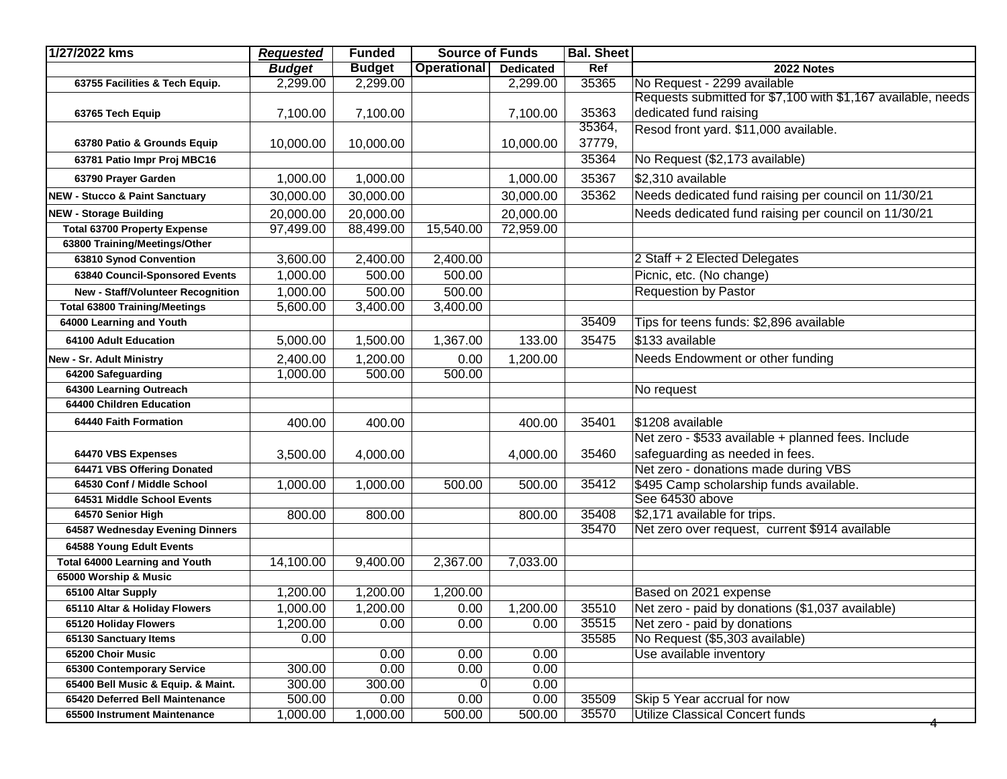| 1/27/2022 kms                              | <b>Requested</b> | <b>Funded</b> | <b>Source of Funds</b> |                  | <b>Bal. Sheet</b> |                                                              |
|--------------------------------------------|------------------|---------------|------------------------|------------------|-------------------|--------------------------------------------------------------|
|                                            | <b>Budget</b>    | <b>Budget</b> | Operational            | <b>Dedicated</b> | Ref               | 2022 Notes                                                   |
| 63755 Facilities & Tech Equip.             | 2,299.00         | 2,299.00      |                        | 2,299.00         | 35365             | No Request - 2299 available                                  |
|                                            |                  |               |                        |                  |                   | Requests submitted for \$7,100 with \$1,167 available, needs |
| 63765 Tech Equip                           | 7,100.00         | 7,100.00      |                        | 7,100.00         | 35363             | dedicated fund raising                                       |
|                                            |                  |               |                        |                  | 35364,            | Resod front yard. \$11,000 available.                        |
| 63780 Patio & Grounds Equip                | 10,000.00        | 10,000.00     |                        | 10,000.00        | 37779,            |                                                              |
| 63781 Patio Impr Proj MBC16                |                  |               |                        |                  | 35364             | No Request (\$2,173 available)                               |
| 63790 Prayer Garden                        | 1,000.00         | 1,000.00      |                        | 1,000.00         | 35367             | \$2,310 available                                            |
| <b>NEW - Stucco &amp; Paint Sanctuary</b>  | 30,000.00        | 30,000.00     |                        | 30,000.00        | 35362             | Needs dedicated fund raising per council on 11/30/21         |
| <b>NEW - Storage Building</b>              | 20,000.00        | 20,000.00     |                        | 20,000.00        |                   | Needs dedicated fund raising per council on 11/30/21         |
| <b>Total 63700 Property Expense</b>        | 97,499.00        | 88,499.00     | 15,540.00              | 72,959.00        |                   |                                                              |
| 63800 Training/Meetings/Other              |                  |               |                        |                  |                   |                                                              |
| 63810 Synod Convention                     | 3,600.00         | 2,400.00      | 2,400.00               |                  |                   | 2 Staff + 2 Elected Delegates                                |
| 63840 Council-Sponsored Events             | 1,000.00         | 500.00        | 500.00                 |                  |                   | Picnic, etc. (No change)                                     |
| New - Staff/Volunteer Recognition          | 1,000.00         | 500.00        | 500.00                 |                  |                   | <b>Requestion by Pastor</b>                                  |
| <b>Total 63800 Training/Meetings</b>       | 5,600.00         | 3,400.00      | $\overline{3,}400.00$  |                  |                   |                                                              |
| 64000 Learning and Youth                   |                  |               |                        |                  | 35409             | Tips for teens funds: \$2,896 available                      |
| 64100 Adult Education                      | 5,000.00         | 1,500.00      | 1,367.00               | 133.00           | 35475             | \$133 available                                              |
| New - Sr. Adult Ministry                   | 2,400.00         | 1,200.00      | 0.00                   | 1,200.00         |                   | Needs Endowment or other funding                             |
| 64200 Safeguarding                         | 1,000.00         | 500.00        | 500.00                 |                  |                   |                                                              |
| 64300 Learning Outreach                    |                  |               |                        |                  |                   | No request                                                   |
| 64400 Children Education                   |                  |               |                        |                  |                   |                                                              |
| 64440 Faith Formation                      | 400.00           | 400.00        |                        | 400.00           | 35401             | \$1208 available                                             |
|                                            |                  |               |                        |                  |                   | Net zero - \$533 available + planned fees. Include           |
| 64470 VBS Expenses                         | 3,500.00         | 4,000.00      |                        | 4,000.00         | 35460             | safeguarding as needed in fees.                              |
| 64471 VBS Offering Donated                 |                  |               |                        |                  |                   | Net zero - donations made during VBS                         |
| 64530 Conf / Middle School                 | 1,000.00         | 1,000.00      | 500.00                 | 500.00           | 35412             | \$495 Camp scholarship funds available.                      |
| 64531 Middle School Events                 |                  |               |                        |                  |                   | See 64530 above                                              |
| 64570 Senior High                          | 800.00           | 800.00        |                        | 800.00           | 35408             | \$2,171 available for trips.                                 |
| 64587 Wednesday Evening Dinners            |                  |               |                        |                  | 35470             | Net zero over request, current \$914 available               |
| 64588 Young Edult Events                   |                  |               |                        |                  |                   |                                                              |
| <b>Total 64000 Learning and Youth</b>      | 14,100.00        | 9,400.00      | 2,367.00               | 7,033.00         |                   |                                                              |
| 65000 Worship & Music                      |                  |               |                        |                  |                   |                                                              |
| 65100 Altar Supply                         | 1,200.00         | 1,200.00      | 1,200.00               |                  |                   | Based on 2021 expense                                        |
| 65110 Altar & Holiday Flowers              | 1,000.00         | 1,200.00      | 0.00                   | 1,200.00         | 35510             | Net zero - paid by donations (\$1,037 available)             |
| 65120 Holiday Flowers                      | 1,200.00         | 0.00          | 0.00                   | 0.00             | 35515<br>35585    | Net zero - paid by donations                                 |
| 65130 Sanctuary Items<br>65200 Choir Music | 0.00             | 0.00          | 0.00                   | 0.00             |                   | No Request (\$5,303 available)<br>Use available inventory    |
| 65300 Contemporary Service                 | 300.00           | 0.00          | 0.00                   | 0.00             |                   |                                                              |
| 65400 Bell Music & Equip. & Maint.         | 300.00           | 300.00        | $\overline{0}$         | 0.00             |                   |                                                              |
| 65420 Deferred Bell Maintenance            | 500.00           | 0.00          | 0.00                   | 0.00             | 35509             | Skip 5 Year accrual for now                                  |
| 65500 Instrument Maintenance               | 1,000.00         | 1,000.00      | 500.00                 | 500.00           | 35570             | Utilize Classical Concert funds                              |
|                                            |                  |               |                        |                  |                   |                                                              |